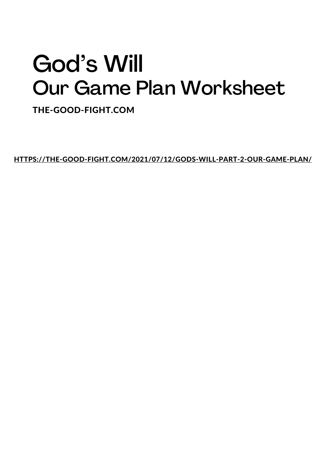## God's Will Our Game Plan Worksheet

THE-GOOD-FIGHT.COM

[HTTPS://THE-GOOD-FIGHT.COM/2021/07/12/GODS-WILL-PART-2-OUR-GAME-PLAN/](https://the-good-fight.com/2021/07/12/gods-will-part-2-our-game-plan/)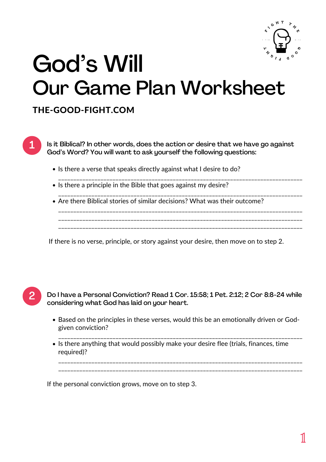

## God's Will Our Game Plan Worksheet

## THE-GOOD-FIGHT.COM

1

Is it Biblical? In other words, does the action or desire that we have go against God's Word? You will want to ask yourself the following questions:

- Is there a verse that speaks directly against what I desire to do?
- \_\_\_\_\_\_\_\_\_\_\_\_\_\_\_\_\_\_\_\_\_\_\_\_\_\_\_\_\_\_\_\_\_\_\_\_\_\_\_\_\_\_\_\_\_\_\_\_\_\_\_\_\_\_\_\_\_\_\_\_\_\_\_\_\_\_\_\_\_\_\_\_\_\_\_\_\_\_\_\_\_ • Is there a principle in the Bible that goes against my desire?

\_\_\_\_\_\_\_\_\_\_\_\_\_\_\_\_\_\_\_\_\_\_\_\_\_\_\_\_\_\_\_\_\_\_\_\_\_\_\_\_\_\_\_\_\_\_\_\_\_\_\_\_\_\_\_\_\_\_\_\_\_\_\_\_\_\_\_\_\_\_\_\_\_\_\_\_\_\_\_\_\_ Are there Biblical stories of similar decisions? What was their outcome? \_\_\_\_\_\_\_\_\_\_\_\_\_\_\_\_\_\_\_\_\_\_\_\_\_\_\_\_\_\_\_\_\_\_\_\_\_\_\_\_\_\_\_\_\_\_\_\_\_\_\_\_\_\_\_\_\_\_\_\_\_\_\_\_\_\_\_\_\_\_\_\_\_\_\_\_\_\_\_\_\_ \_\_\_\_\_\_\_\_\_\_\_\_\_\_\_\_\_\_\_\_\_\_\_\_\_\_\_\_\_\_\_\_\_\_\_\_\_\_\_\_\_\_\_\_\_\_\_\_\_\_\_\_\_\_\_\_\_\_\_\_\_\_\_\_\_\_\_\_\_\_\_\_\_\_\_\_\_\_\_\_\_ \_\_\_\_\_\_\_\_\_\_\_\_\_\_\_\_\_\_\_\_\_\_\_\_\_\_\_\_\_\_\_\_\_\_\_\_\_\_\_\_\_\_\_\_\_\_\_\_\_\_\_\_\_\_\_\_\_\_\_\_\_\_\_\_\_\_\_\_\_\_\_\_\_\_\_\_\_\_\_\_\_

If there is no verse, principle, or story against your desire, then move on to step 2.



Do I have a Personal Conviction? Read 1 Cor. 15:58; 1 Pet. 2:12; 2 Cor 8:8-24 while considering what God has laid on your heart.

• Based on the principles in these verses, would this be an emotionally driven or Godgiven conviction?

\_\_\_\_\_\_\_\_\_\_\_\_\_\_\_\_\_\_\_\_\_\_\_\_\_\_\_\_\_\_\_\_\_\_\_\_\_\_\_\_\_\_\_\_\_\_\_\_\_\_\_\_\_\_\_\_\_\_\_\_\_\_\_\_\_\_\_\_\_\_\_\_\_\_\_\_\_\_\_\_\_ \_\_\_\_\_\_\_\_\_\_\_\_\_\_\_\_\_\_\_\_\_\_\_\_\_\_\_\_\_\_\_\_\_\_\_\_\_\_\_\_\_\_\_\_\_\_\_\_\_\_\_\_\_\_\_\_\_\_\_\_\_\_\_\_\_\_\_\_\_\_\_\_\_\_\_\_\_\_\_\_\_

\_\_\_\_\_\_\_\_\_\_\_\_\_\_\_\_\_\_\_\_\_\_\_\_\_\_\_\_\_\_\_\_\_\_\_\_\_\_\_\_\_\_\_\_\_\_\_\_\_\_\_\_\_\_\_\_\_\_\_\_\_\_\_\_\_\_\_\_\_\_\_\_\_\_\_\_\_\_\_\_\_ • Is there anything that would possibly make your desire flee (trials, finances, time required)?

If the personal conviction grows, move on to step 3.